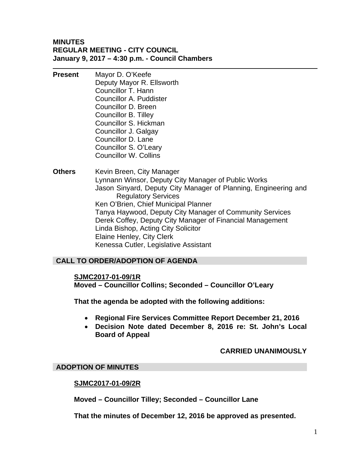#### **MINUTES REGULAR MEETING - CITY COUNCIL January 9, 2017 – 4:30 p.m. - Council Chambers**

- **Present** Mayor D. O'Keefe Deputy Mayor R. Ellsworth Councillor T. Hann Councillor A. Puddister Councillor D. Breen Councillor B. Tilley Councillor S. Hickman Councillor J. Galgay Councillor D. Lane Councillor S. O'Leary Councillor W. Collins
- **Others** Kevin Breen, City Manager Lynnann Winsor, Deputy City Manager of Public Works Jason Sinyard, Deputy City Manager of Planning, Engineering and Regulatory Services Ken O'Brien, Chief Municipal Planner Tanya Haywood, Deputy City Manager of Community Services Derek Coffey, Deputy City Manager of Financial Management Linda Bishop, Acting City Solicitor Elaine Henley, City Clerk Kenessa Cutler, Legislative Assistant

## **CALL TO ORDER/ADOPTION OF AGENDA**

#### **SJMC2017-01-09/1R**

**Moved – Councillor Collins; Seconded – Councillor O'Leary** 

**That the agenda be adopted with the following additions:** 

- **Regional Fire Services Committee Report December 21, 2016**
- **Decision Note dated December 8, 2016 re: St. John's Local Board of Appeal**

## **CARRIED UNANIMOUSLY**

#### **ADOPTION OF MINUTES**

#### **SJMC2017-01-09/2R**

**Moved – Councillor Tilley; Seconded – Councillor Lane** 

**That the minutes of December 12, 2016 be approved as presented.**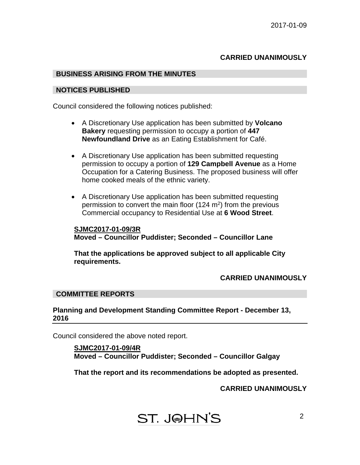## **CARRIED UNANIMOUSLY**

#### **BUSINESS ARISING FROM THE MINUTES**

#### **NOTICES PUBLISHED**

Council considered the following notices published:

- A Discretionary Use application has been submitted by **Volcano Bakery** requesting permission to occupy a portion of **447 Newfoundland Drive** as an Eating Establishment for Café.
- A Discretionary Use application has been submitted requesting permission to occupy a portion of **129 Campbell Avenue** as a Home Occupation for a Catering Business. The proposed business will offer home cooked meals of the ethnic variety.
- A Discretionary Use application has been submitted requesting permission to convert the main floor  $(124 \text{ m}^2)$  from the previous Commercial occupancy to Residential Use at **6 Wood Street**.

#### **SJMC2017-01-09/3R Moved – Councillor Puddister; Seconded – Councillor Lane**

**That the applications be approved subject to all applicable City requirements.** 

#### **CARRIED UNANIMOUSLY**

#### **COMMITTEE REPORTS**

**Planning and Development Standing Committee Report - December 13, 2016** 

Council considered the above noted report.

**SJMC2017-01-09/4R Moved – Councillor Puddister; Seconded – Councillor Galgay** 

**That the report and its recommendations be adopted as presented.** 

**CARRIED UNANIMOUSLY**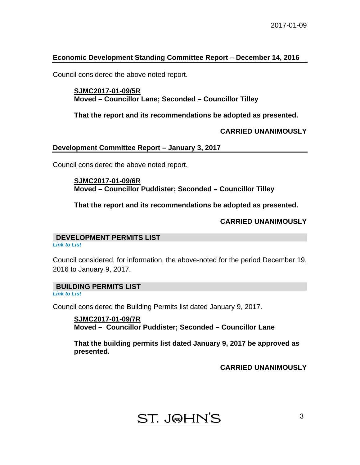## **Economic Development Standing Committee Report – December 14, 2016**

Council considered the above noted report.

#### **SJMC2017-01-09/5R Moved – Councillor Lane; Seconded – Councillor Tilley**

**That the report and its recommendations be adopted as presented.** 

## **CARRIED UNANIMOUSLY**

#### **Development Committee Report – January 3, 2017**

Council considered the above noted report.

## **SJMC2017-01-09/6R Moved – Councillor Puddister; Seconded – Councillor Tilley**

**That the report and its recommendations be adopted as presented.** 

## **CARRIED UNANIMOUSLY**

#### **DEVELOPMENT PERMITS LIST**

*[Link to List](#page-8-0)* 

Council considered, for information, the above-noted for the period December 19, 2016 to January 9, 2017.

## **BUILDING PERMITS LIST**

*[Link to List](#page-9-0)* 

Council considered the Building Permits list dated January 9, 2017.

**SJMC2017-01-09/7R Moved – Councillor Puddister; Seconded – Councillor Lane** 

**That the building permits list dated January 9, 2017 be approved as presented.** 

**CARRIED UNANIMOUSLY** 

## ST. J@HN'S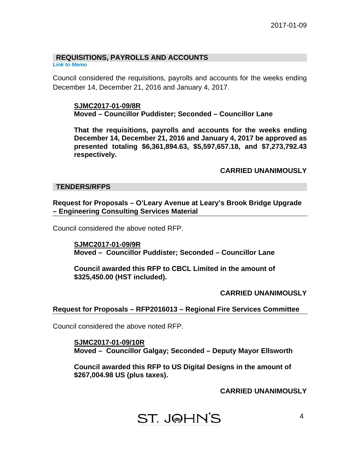## **REQUISITIONS, PAYROLLS AND ACCOUNTS**

*[Link to Memo](#page-14-0)* 

Council considered the requisitions, payrolls and accounts for the weeks ending December 14, December 21, 2016 and January 4, 2017.

#### **SJMC2017-01-09/8R Moved – Councillor Puddister; Seconded – Councillor Lane**

**That the requisitions, payrolls and accounts for the weeks ending December 14, December 21, 2016 and January 4, 2017 be approved as presented totaling \$6,361,894.63, \$5,597,657.18, and \$7,273,792.43 respectively.** 

## **CARRIED UNANIMOUSLY**

#### **TENDERS/RFPS**

**Request for Proposals – O'Leary Avenue at Leary's Brook Bridge Upgrade – Engineering Consulting Services Material** 

Council considered the above noted RFP.

**SJMC2017-01-09/9R Moved – Councillor Puddister; Seconded – Councillor Lane** 

**Council awarded this RFP to CBCL Limited in the amount of \$325,450.00 (HST included).** 

#### **CARRIED UNANIMOUSLY**

#### **Request for Proposals – RFP2016013 – Regional Fire Services Committee**

Council considered the above noted RFP.

**SJMC2017-01-09/10R Moved – Councillor Galgay; Seconded – Deputy Mayor Ellsworth** 

**Council awarded this RFP to US Digital Designs in the amount of \$267,004.98 US (plus taxes).** 

**CARRIED UNANIMOUSLY** 

## ST. J@HN'S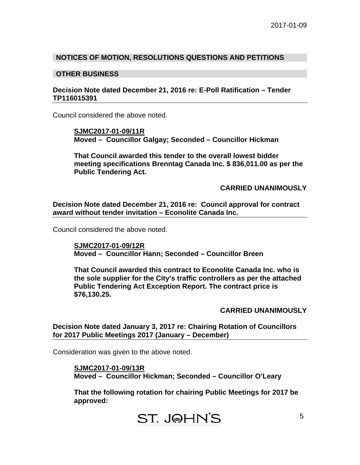#### **NOTICES OF MOTION, RESOLUTIONS QUESTIONS AND PETITIONS**

#### **OTHER BUSINESS**

#### **Decision Note dated December 21, 2016 re: E-Poll Ratification – Tender TP116015391**

Council considered the above noted.

**SJMC2017-01-09/11R Moved – Councillor Galgay; Seconded – Councillor Hickman** 

**That Council awarded this tender to the overall lowest bidder meeting specifications Brenntag Canada Inc. \$ 836,011.00 as per the Public Tendering Act.** 

**CARRIED UNANIMOUSLY** 

**Decision Note dated December 21, 2016 re: Council approval for contract award without tender invitation – Econolite Canada Inc.** 

Council considered the above noted.

**SJMC2017-01-09/12R Moved – Councillor Hann; Seconded – Councillor Breen** 

**That Council awarded this contract to Econolite Canada Inc. who is the sole supplier for the City's traffic controllers as per the attached Public Tendering Act Exception Report. The contract price is \$76,130.25.** 

**CARRIED UNANIMOUSLY** 

**Decision Note dated January 3, 2017 re: Chairing Rotation of Councillors for 2017 Public Meetings 2017 (January – December)** 

Consideration was given to the above noted.

**SJMC2017-01-09/13R Moved – Councillor Hickman; Seconded – Councillor O'Leary** 

**That the following rotation for chairing Public Meetings for 2017 be approved:**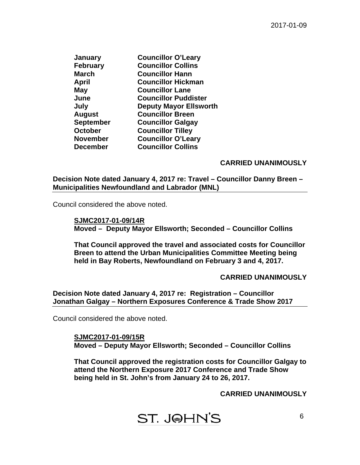| <b>January</b>   | <b>Councillor O'Leary</b>     |
|------------------|-------------------------------|
| <b>February</b>  | <b>Councillor Collins</b>     |
| <b>March</b>     | <b>Councillor Hann</b>        |
| April            | <b>Councillor Hickman</b>     |
| May              | <b>Councillor Lane</b>        |
| June             | <b>Councillor Puddister</b>   |
| July             | <b>Deputy Mayor Ellsworth</b> |
| <b>August</b>    | <b>Councillor Breen</b>       |
| <b>September</b> | <b>Councillor Galgay</b>      |
| <b>October</b>   | <b>Councillor Tilley</b>      |
| <b>November</b>  | <b>Councillor O'Leary</b>     |
| <b>December</b>  | <b>Councillor Collins</b>     |
|                  |                               |

#### **CARRIED UNANIMOUSLY**

**Decision Note dated January 4, 2017 re: Travel – Councillor Danny Breen – Municipalities Newfoundland and Labrador (MNL)**

Council considered the above noted.

**SJMC2017-01-09/14R Moved – Deputy Mayor Ellsworth; Seconded – Councillor Collins** 

**That Council approved the travel and associated costs for Councillor Breen to attend the Urban Municipalities Committee Meeting being held in Bay Roberts, Newfoundland on February 3 and 4, 2017.** 

#### **CARRIED UNANIMOUSLY**

#### **Decision Note dated January 4, 2017 re: Registration – Councillor Jonathan Galgay – Northern Exposures Conference & Trade Show 2017**

Council considered the above noted.

**SJMC2017-01-09/15R Moved – Deputy Mayor Ellsworth; Seconded – Councillor Collins** 

**That Council approved the registration costs for Councillor Galgay to attend the Northern Exposure 2017 Conference and Trade Show being held in St. John's from January 24 to 26, 2017.** 

**CARRIED UNANIMOUSLY**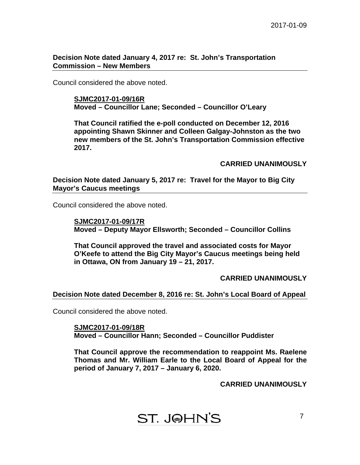**Decision Note dated January 4, 2017 re: St. John's Transportation Commission – New Members** 

Council considered the above noted.

**SJMC2017-01-09/16R Moved – Councillor Lane; Seconded – Councillor O'Leary** 

**That Council ratified the e-poll conducted on December 12, 2016 appointing Shawn Skinner and Colleen Galgay-Johnston as the two new members of the St. John's Transportation Commission effective 2017.** 

**CARRIED UNANIMOUSLY** 

**Decision Note dated January 5, 2017 re: Travel for the Mayor to Big City Mayor's Caucus meetings** 

Council considered the above noted.

**SJMC2017-01-09/17R Moved – Deputy Mayor Ellsworth; Seconded – Councillor Collins** 

**That Council approved the travel and associated costs for Mayor O'Keefe to attend the Big City Mayor's Caucus meetings being held in Ottawa, ON from January 19 – 21, 2017.** 

**CARRIED UNANIMOUSLY** 

#### **Decision Note dated December 8, 2016 re: St. John's Local Board of Appeal**

Council considered the above noted.

**SJMC2017-01-09/18R Moved – Councillor Hann; Seconded – Councillor Puddister** 

**That Council approve the recommendation to reappoint Ms. Raelene Thomas and Mr. William Earle to the Local Board of Appeal for the period of January 7, 2017 – January 6, 2020.** 

**CARRIED UNANIMOUSLY**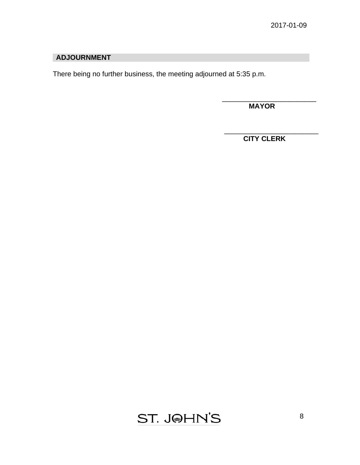## **ADJOURNMENT**

There being no further business, the meeting adjourned at 5:35 p.m.

 **MAYOR** 

\_\_\_\_\_\_\_\_\_\_\_\_\_\_\_\_\_\_\_\_\_\_\_\_

\_\_\_\_\_\_\_\_\_\_\_\_\_\_\_\_\_\_\_\_\_\_\_\_

 **CITY CLERK** 

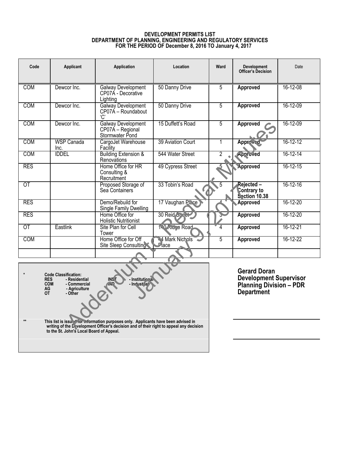#### **DEVELOPMENT PERMITS LIST DEPARTMENT OF PLANNING, ENGINEERING AND REGULATORY SERVICES FOR THE PERIOD OF December 8, 2016 TO January 4, 2017**

<span id="page-8-0"></span>

| Code                                                                                                                                                                                      | <b>Applicant</b>          | Application                                                      | Location                   | Ward           | <b>Development</b><br><b>Officer's Decision</b>                                                             | Date           |  |
|-------------------------------------------------------------------------------------------------------------------------------------------------------------------------------------------|---------------------------|------------------------------------------------------------------|----------------------------|----------------|-------------------------------------------------------------------------------------------------------------|----------------|--|
| <b>COM</b>                                                                                                                                                                                | Dewcor Inc.               | Galway Development<br>CP07A - Decorative<br>Lighting             | 50 Danny Drive             | 5              | <b>Approved</b>                                                                                             | 16-12-08       |  |
| COM                                                                                                                                                                                       | Dewcor Inc.               | <b>Galway Development</b><br>CP07A - Roundabout<br>'C'           | 50 Danny Drive             | 5              | <b>Approved</b>                                                                                             | 16-12-09       |  |
| <b>COM</b>                                                                                                                                                                                | Dewcor Inc.               | <b>Galway Development</b><br>CP07A - Regional<br>Stormwater Pond | 15 Duffett's Road          | 5              | <b>Approved</b>                                                                                             | 16-12-09       |  |
| COM                                                                                                                                                                                       | <b>WSP Canada</b><br>Inc. | CargoJet Warehouse<br>Facility                                   | 39 Aviation Court          | $\mathbf{1}$   | Approved                                                                                                    | $16 - 12 - 12$ |  |
| <b>COM</b>                                                                                                                                                                                | <b>IDDEL</b>              | <b>Building Extension &amp;</b><br>Renovations                   | 544 Water Street           | $\overline{2}$ | Approved                                                                                                    | 16-12-14       |  |
| <b>RES</b>                                                                                                                                                                                |                           | Home Office for HR<br>Consulting &<br>Recruitment                | 49 Cypress Street          |                | Approved                                                                                                    | 16-12-15       |  |
| $\overline{OT}$                                                                                                                                                                           |                           | Proposed Storage of<br>Sea Containers                            | 33 Tobin's Road            | 5              | Rejected -<br>Contrary to<br><b>Section 10.38</b>                                                           | 16-12-16       |  |
| <b>RES</b>                                                                                                                                                                                |                           | Demo/Rebuild for<br>Single Family Dwelling                       | 17 Vaughan Place           |                | Approved                                                                                                    | $16 - 12 - 20$ |  |
| <b>RES</b>                                                                                                                                                                                |                           | Home Office for<br><b>Holistic Nutritionist</b>                  | 30 Reid Sp 3ct             |                | Approved                                                                                                    | $16 - 12 - 20$ |  |
| <b>OT</b>                                                                                                                                                                                 | Eastlink                  | Site Plan for Cell<br>Tower                                      | 1.0 Ninge Road             | 4              | Approved                                                                                                    | 16-12-21       |  |
| COM                                                                                                                                                                                       |                           | Home Office for Off<br>Site Sleep Consulting                     | 44 Mark Nichols<br>$P$ ace | 5              | <b>Approved</b>                                                                                             | 16-12-22       |  |
|                                                                                                                                                                                           |                           |                                                                  |                            |                |                                                                                                             |                |  |
| <b>Code Classification:</b><br>- Residential<br><b>INS</b><br>- Institutional<br><b>RES</b><br>- Indust (al)<br><b>COM</b><br>- Commercial<br>AG<br>- Agriculture<br><b>OT</b><br>- Other |                           |                                                                  |                            |                | <b>Gerard Doran</b><br><b>Development Supervisor</b><br><b>Planning Division - PDR</b><br><b>Department</b> |                |  |

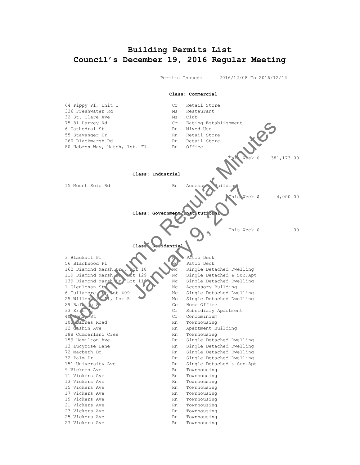## <span id="page-9-0"></span>**Building Permits List Council's December 19, 2016 Regular Meeting**

Permits Issued: 2016/12/08 To 2016/12/14



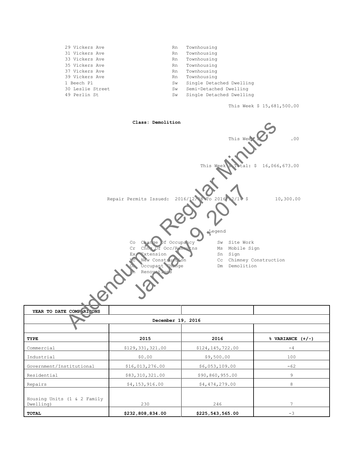| 29 Vickers Ave   | Rn  | Townhousing              |
|------------------|-----|--------------------------|
| 31 Vickers Ave   | Rn. | Townhousing              |
| 33 Vickers Ave   | Rn  | Townhousing              |
| 35 Vickers Ave   | Rn. | Townhousing              |
| 37 Vickers Ave   | Rn. | Townhousing              |
| 39 Vickers Ave   | Rn  | Townhousing              |
| 1 Beech Pl       | Sw  | Single Detached Dwelling |
| 30 Leslie Street | Sw  | Semi-Detached Dwelling   |
| 49 Perlin St     | Sw  | Single Detached Dwelling |
|                  |     |                          |

This Week \$ 15,681,500.00



Commercial \$129,331,321.00 \$124,145,722.00 -4 Industrial \$0.00 \$9,500.00 100 Government/Institutional \$16,013,276.00 \$6,053,109.00 -62 Residential **\$83,310,321.00** \$90,860,955.00 9 Repairs 64,153,916.00 \$4,474,279.00 8 Housing Units (1 & 2 Family Dwelling) **230** 246 7

**TOTAL \$232,808,834.00 \$225,543,565.00** -3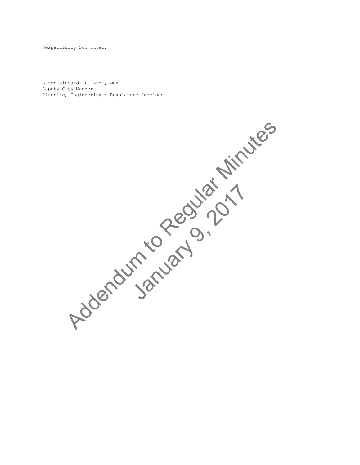Respectfully Submitted,

Jason Sinyard, P. Eng., MBA Deputy City Manger Planning, Engineering & Regulatory Services

> Addendum to Regular Minutes January 9, 2017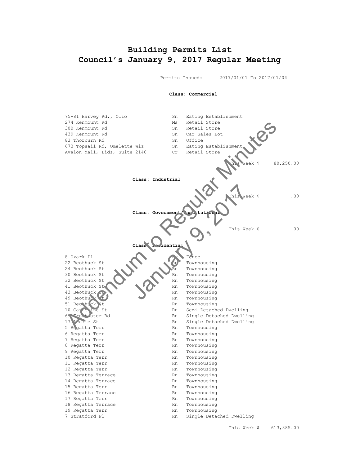## **Building Permits List Council's January 9, 2017 Regular Meeting**

Permits Issued: 2017/01/01 To 2017/01/04

 **Class: Commercial** 75-81 Harvey Rd., Olio Sn Eating Establishment 274 Kenmount Rd Ms Retail Store 300 Kenmount Rd Sn Retail Store 439 Kenmount Rd Sn Car Sales Lot 83 Thorburn Rd 673 Topsail Rd, Omelette Wiz Sn Eating Establishment Avalon Mall, Lids, Suite 2140 Cr Retail Store Veek \$ 80,250.00 **Class: Industrial**  $Neek$  \$ .00 **Class: Governme** This Week \$ .00 **Class: Residential** 8 Ozark Pl Nc Fence 22 Beothuck St Rn Townhousing 24 Beothuck St Rn Townhousing  $30$  Beothuck St  $\qquad$  Rn Townhousing 32 Beothuck St Rn Townhousing 41 Beothuck Street And Rn Townhousing 43 Beothuck St Rn Townhousing 49 Beothuck to Rn Townhousing 51 Beothuck St Rn Townhousing 10 Catherine St Rn Semi-Detached Dwelling 69 Freshwater Rd Rn Single Detached Dwelling 17 Leslie St Rn Single Detached Dwelling 5 Regatta Terr **Rn** Townhousing 6 Regatta Terr Rn Townhousing 7 Regatta Terr **RACI** Rn Townhousing 8 Regatta Terr **RACK RN** Townhousing 9 Regatta Terr **RACIONAL EXECUTE:** Rn Townhousing 10 Regatta Terr Rn Rn Townhousing 11 Regatta Terr Rn Rn Townhousing 12 Regatta Terr Rn Townhousing 13 Regatta Terrace 1999 Rn Townhousing<br>14 Regatta Terrace 1999 Rn Townhousing 14 Regatta Terrace Rn 15 Regatta Terr **RACIONAL EXECUTE:** Rn Townhousing 16 Regatta Terrace **Rn** Townhousing 17 Regatta Terr **RN** Rn Townhousing 18 Regatta Terrace **RACI** Rn Townhousing 19 Regatta Terr **RACIONAL EXECUTE:** Rn Townhousing 7 Stratford Pl **Rn** Single Detached Dwelling 274 Remount Rd<br>
83 Decembent Rd<br>
Addeniana San Addenia Sn Cars Search Corp.<br>
673 Toppsall Rd, Omelette Wiz<br>
87 Toppsall Rd, Omelette Wiz<br>
Regular Minutes Sn Corp.<br>
Class: Industrial<br>
Class: Industrial<br>
Class: Industrial<br>
C Class: Government (ms) tution<br>Class: Covernment (ms) tution<br>Class<br>Class<br>Class<br>Class<br>Class<br>Class<br>Townhousing<br>Rn Townhousing<br>Rn Townhousing<br>Rn Townhousing<br>Rn Townhousing<br>Rn Townhousing<br>Rn Townhousing<br>Rn Townhousing<br>Rn Townho

This Week \$ 613,885.00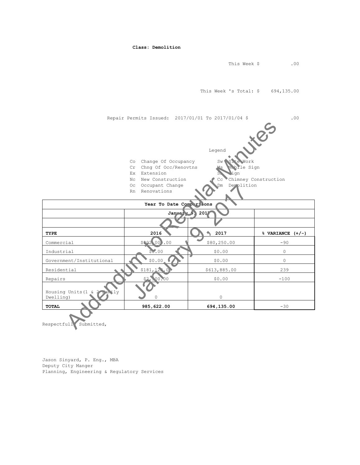This Week \$ .00 This Week 's Total: \$ 694,135.00 Repair Permits Issued: 2017/01/01 To 2017/01/04 \$ .00 Legend Co Change Of Occupancy Sw Site Work Cr Chng Of Occ/Renovtns Ms Mobile Sign Ex Extension Sn Sn Sign Nc New Construction Cc Chimney Construction Oc Occupant Change **Dm** Demolition Rn Renovations Year To Date Comparisons **January 9, 2017 TYPE 2016 2017 % VARIANCE (+/-)**  $\sim$  Commercial  $\sim$  \$80,250.00 -90 Industrial \$0.00 \$0.00 0  $\sim$   $\sim$  \$0.00 \$0.00 \$0.00 0 0 0 Residential \$181,122.00 \$613,885.00 239 Repairs (\$2,500.00 \$9.00 \$0.00 -100 Housing Units  $(1 \&$ Dwelling)  $\bigcup_{i=1}^{\infty}$  0 0 0 0 **TOTAL 985,622.00 694,135.00** -30 Example of Occupancy<br>
Co Change of Occupancy<br>
Ex Extension<br>
No be Cocorpant Change<br>
No be Cocorpant Change<br>
No be Cocorpant Change<br>
The Regular Minutes of Cocorpant Change<br>
The Regular Minutes of Contractions<br>
The Regular No. 0 Cocupant Change<br>
Year To Date Comp risons<br>
January 1991<br>
2016<br>
1992<br>
1992<br>
1993<br>
1993<br>
1993<br>
1994<br>
1994<br>
1994<br>
1994<br>
1994<br>
1994<br>
1994<br>
1994<br>
1994<br>
1994<br>
1994<br>
1994<br>
1994<br>
1994<br>
1996<br>
1996<br>
1996<br>
1996<br>
1996<br>
1996<br>
199

**Class: Demolition**

Respectfull Submitted,

Jason Sinyard, P. Eng., MBA Deputy City Manger Planning, Engineering & Regulatory Services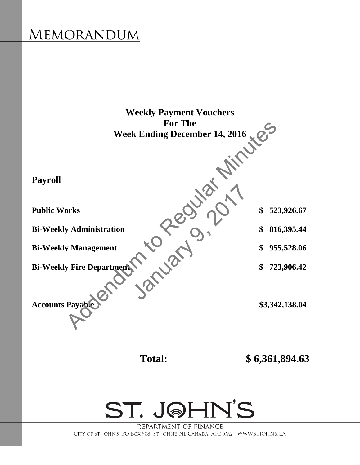# <span id="page-14-0"></span>MEMORANDUM





DEPARTMENT OF FINANCE CITY OF ST. JOHN'S PO BOX 908 ST. JOHN'S NL CANADA A1C 5M2 WWW.STJOHNS.CA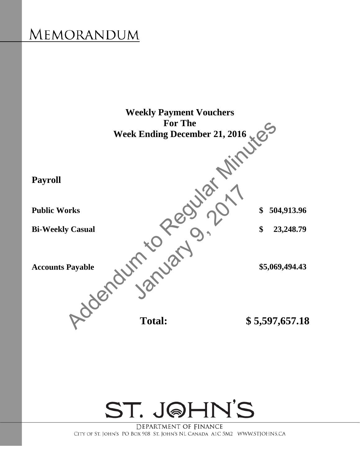# MEMORANDUM





DEPARTMENT OF FINANCE CITY OF ST. JOHN'S PO BOX 908 ST. JOHN'S NL CANADA A1C 5M2 WWW.STJOHNS.CA